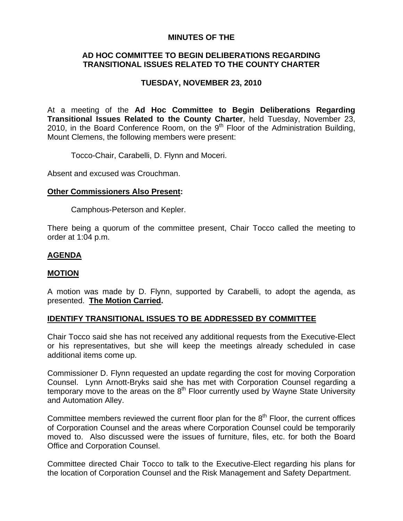#### **MINUTES OF THE**

## **AD HOC COMMITTEE TO BEGIN DELIBERATIONS REGARDING TRANSITIONAL ISSUES RELATED TO THE COUNTY CHARTER**

# **TUESDAY, NOVEMBER 23, 2010**

At a meeting of the **Ad Hoc Committee to Begin Deliberations Regarding Transitional Issues Related to the County Charter**, held Tuesday, November 23, 2010, in the Board Conference Room, on the  $9<sup>th</sup>$  Floor of the Administration Building, Mount Clemens, the following members were present:

Tocco-Chair, Carabelli, D. Flynn and Moceri.

Absent and excused was Crouchman.

#### **Other Commissioners Also Present:**

Camphous-Peterson and Kepler.

There being a quorum of the committee present, Chair Tocco called the meeting to order at 1:04 p.m.

## **AGENDA**

#### **MOTION**

A motion was made by D. Flynn, supported by Carabelli, to adopt the agenda, as presented. **The Motion Carried.** 

## **IDENTIFY TRANSITIONAL ISSUES TO BE ADDRESSED BY COMMITTEE**

Chair Tocco said she has not received any additional requests from the Executive-Elect or his representatives, but she will keep the meetings already scheduled in case additional items come up.

Commissioner D. Flynn requested an update regarding the cost for moving Corporation Counsel. Lynn Arnott-Bryks said she has met with Corporation Counsel regarding a temporary move to the areas on the  $8<sup>th</sup>$  Floor currently used by Wayne State University and Automation Alley.

Committee members reviewed the current floor plan for the  $8<sup>th</sup>$  Floor, the current offices of Corporation Counsel and the areas where Corporation Counsel could be temporarily moved to. Also discussed were the issues of furniture, files, etc. for both the Board Office and Corporation Counsel.

Committee directed Chair Tocco to talk to the Executive-Elect regarding his plans for the location of Corporation Counsel and the Risk Management and Safety Department.